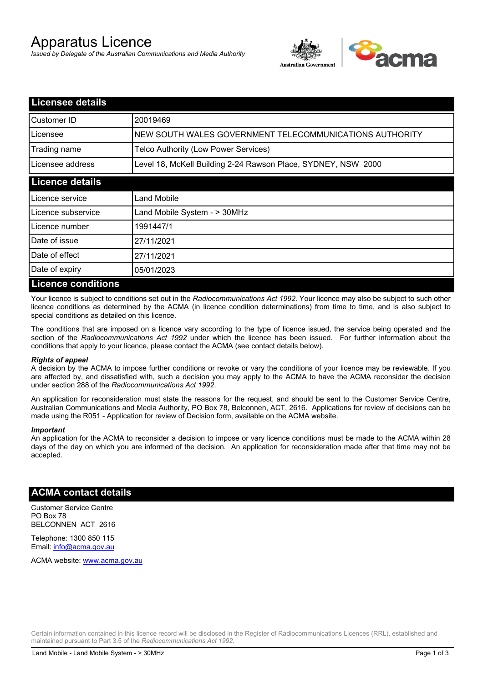# Apparatus Licence

*Issued by Delegate of the Australian Communications and Media Authority*



| <b>Licensee details</b>   |                                                               |  |  |
|---------------------------|---------------------------------------------------------------|--|--|
| Customer ID               | 20019469                                                      |  |  |
| Licensee                  | NEW SOUTH WALES GOVERNMENT TELECOMMUNICATIONS AUTHORITY       |  |  |
| Trading name              | Telco Authority (Low Power Services)                          |  |  |
| Licensee address          | Level 18, McKell Building 2-24 Rawson Place, SYDNEY, NSW 2000 |  |  |
| <b>Licence details</b>    |                                                               |  |  |
| l Licence service         | Land Mobile                                                   |  |  |
| Licence subservice        | Land Mobile System - > 30MHz                                  |  |  |
| Licence number            | 1991447/1                                                     |  |  |
| Date of issue             | 27/11/2021                                                    |  |  |
| Date of effect            | 27/11/2021                                                    |  |  |
| Date of expiry            | 05/01/2023                                                    |  |  |
| <b>Licence conditions</b> |                                                               |  |  |

Your licence is subject to conditions set out in the *Radiocommunications Act 1992*. Your licence may also be subject to such other licence conditions as determined by the ACMA (in licence condition determinations) from time to time, and is also subject to special conditions as detailed on this licence.

The conditions that are imposed on a licence vary according to the type of licence issued, the service being operated and the section of the *Radiocommunications Act 1992* under which the licence has been issued. For further information about the conditions that apply to your licence, please contact the ACMA (see contact details below).

#### *Rights of appeal*

A decision by the ACMA to impose further conditions or revoke or vary the conditions of your licence may be reviewable. If you are affected by, and dissatisfied with, such a decision you may apply to the ACMA to have the ACMA reconsider the decision under section 288 of the *Radiocommunications Act 1992*.

An application for reconsideration must state the reasons for the request, and should be sent to the Customer Service Centre, Australian Communications and Media Authority, PO Box 78, Belconnen, ACT, 2616. Applications for review of decisions can be made using the R051 - Application for review of Decision form, available on the ACMA website.

#### *Important*

An application for the ACMA to reconsider a decision to impose or vary licence conditions must be made to the ACMA within 28 days of the day on which you are informed of the decision. An application for reconsideration made after that time may not be accepted.

### **ACMA contact details**

Customer Service Centre PO Box 78 BELCONNEN ACT 2616

Telephone: 1300 850 115 Email: info@acma.gov.au

ACMA website: www.acma.gov.au

Certain information contained in this licence record will be disclosed in the Register of Radiocommunications Licences (RRL), established and maintained pursuant to Part 3.5 of the *Radiocommunications Act 1992.*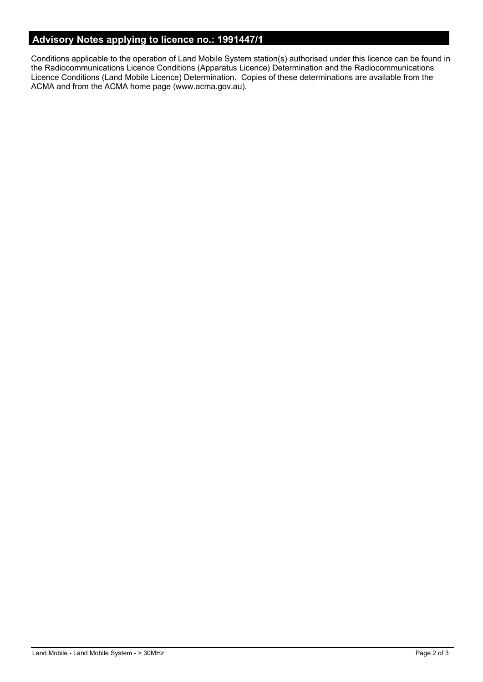# **Advisory Notes applying to licence no.: 1991447/1**

Conditions applicable to the operation of Land Mobile System station(s) authorised under this licence can be found in the Radiocommunications Licence Conditions (Apparatus Licence) Determination and the Radiocommunications Licence Conditions (Land Mobile Licence) Determination. Copies of these determinations are available from the ACMA and from the ACMA home page (www.acma.gov.au).